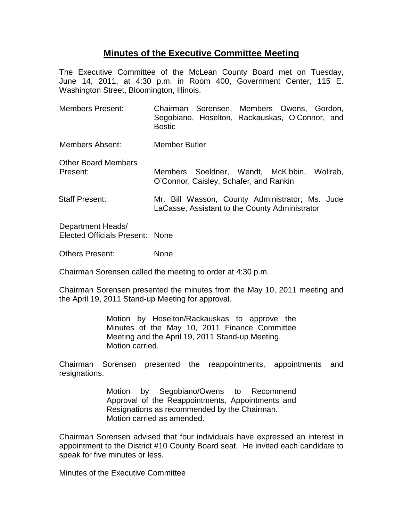## **Minutes of the Executive Committee Meeting**

The Executive Committee of the McLean County Board met on Tuesday, June 14, 2011, at 4:30 p.m. in Room 400, Government Center, 115 E. Washington Street, Bloomington, Illinois.

Members Present: Chairman Sorensen, Members Owens, Gordon, Segobiano, Hoselton, Rackauskas, O'Connor, and **Bostic** Members Absent: Member Butler Other Board Members Present: Members Soeldner, Wendt, McKibbin, Wollrab, O'Connor, Caisley, Schafer, and Rankin Staff Present: Mr. Bill Wasson, County Administrator; Ms. Jude LaCasse, Assistant to the County Administrator Department Heads/ Elected Officials Present: None Others Present: None

Chairman Sorensen called the meeting to order at 4:30 p.m.

Chairman Sorensen presented the minutes from the May 10, 2011 meeting and the April 19, 2011 Stand-up Meeting for approval.

> Motion by Hoselton/Rackauskas to approve the Minutes of the May 10, 2011 Finance Committee Meeting and the April 19, 2011 Stand-up Meeting. Motion carried.

Chairman Sorensen presented the reappointments, appointments and resignations.

> Motion by Segobiano/Owens to Recommend Approval of the Reappointments, Appointments and Resignations as recommended by the Chairman. Motion carried as amended.

Chairman Sorensen advised that four individuals have expressed an interest in appointment to the District #10 County Board seat. He invited each candidate to speak for five minutes or less.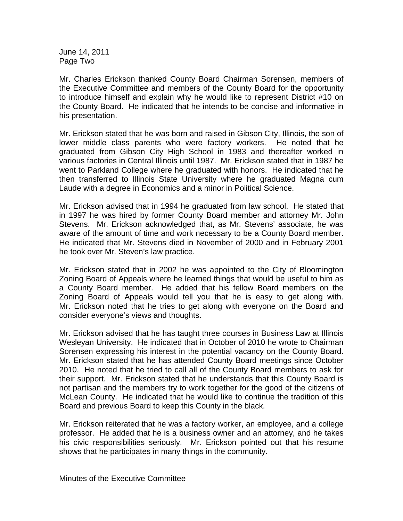June 14, 2011 Page Two

Mr. Charles Erickson thanked County Board Chairman Sorensen, members of the Executive Committee and members of the County Board for the opportunity to introduce himself and explain why he would like to represent District #10 on the County Board. He indicated that he intends to be concise and informative in his presentation.

Mr. Erickson stated that he was born and raised in Gibson City, Illinois, the son of lower middle class parents who were factory workers. He noted that he graduated from Gibson City High School in 1983 and thereafter worked in various factories in Central Illinois until 1987. Mr. Erickson stated that in 1987 he went to Parkland College where he graduated with honors. He indicated that he then transferred to Illinois State University where he graduated Magna cum Laude with a degree in Economics and a minor in Political Science.

Mr. Erickson advised that in 1994 he graduated from law school. He stated that in 1997 he was hired by former County Board member and attorney Mr. John Stevens. Mr. Erickson acknowledged that, as Mr. Stevens' associate, he was aware of the amount of time and work necessary to be a County Board member. He indicated that Mr. Stevens died in November of 2000 and in February 2001 he took over Mr. Steven's law practice.

Mr. Erickson stated that in 2002 he was appointed to the City of Bloomington Zoning Board of Appeals where he learned things that would be useful to him as a County Board member. He added that his fellow Board members on the Zoning Board of Appeals would tell you that he is easy to get along with. Mr. Erickson noted that he tries to get along with everyone on the Board and consider everyone's views and thoughts.

Mr. Erickson advised that he has taught three courses in Business Law at Illinois Wesleyan University. He indicated that in October of 2010 he wrote to Chairman Sorensen expressing his interest in the potential vacancy on the County Board. Mr. Erickson stated that he has attended County Board meetings since October 2010. He noted that he tried to call all of the County Board members to ask for their support. Mr. Erickson stated that he understands that this County Board is not partisan and the members try to work together for the good of the citizens of McLean County. He indicated that he would like to continue the tradition of this Board and previous Board to keep this County in the black.

Mr. Erickson reiterated that he was a factory worker, an employee, and a college professor. He added that he is a business owner and an attorney, and he takes his civic responsibilities seriously. Mr. Erickson pointed out that his resume shows that he participates in many things in the community.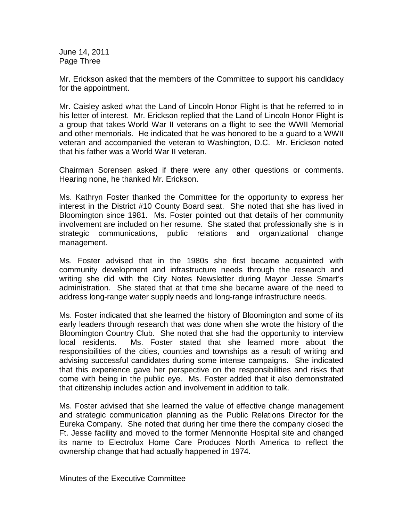June 14, 2011 Page Three

Mr. Erickson asked that the members of the Committee to support his candidacy for the appointment.

Mr. Caisley asked what the Land of Lincoln Honor Flight is that he referred to in his letter of interest. Mr. Erickson replied that the Land of Lincoln Honor Flight is a group that takes World War II veterans on a flight to see the WWII Memorial and other memorials. He indicated that he was honored to be a guard to a WWII veteran and accompanied the veteran to Washington, D.C. Mr. Erickson noted that his father was a World War II veteran.

Chairman Sorensen asked if there were any other questions or comments. Hearing none, he thanked Mr. Erickson.

Ms. Kathryn Foster thanked the Committee for the opportunity to express her interest in the District #10 County Board seat. She noted that she has lived in Bloomington since 1981. Ms. Foster pointed out that details of her community involvement are included on her resume. She stated that professionally she is in strategic communications, public relations and organizational change management.

Ms. Foster advised that in the 1980s she first became acquainted with community development and infrastructure needs through the research and writing she did with the City Notes Newsletter during Mayor Jesse Smart's administration. She stated that at that time she became aware of the need to address long-range water supply needs and long-range infrastructure needs.

Ms. Foster indicated that she learned the history of Bloomington and some of its early leaders through research that was done when she wrote the history of the Bloomington Country Club. She noted that she had the opportunity to interview local residents. Ms. Foster stated that she learned more about the responsibilities of the cities, counties and townships as a result of writing and advising successful candidates during some intense campaigns. She indicated that this experience gave her perspective on the responsibilities and risks that come with being in the public eye. Ms. Foster added that it also demonstrated that citizenship includes action and involvement in addition to talk.

Ms. Foster advised that she learned the value of effective change management and strategic communication planning as the Public Relations Director for the Eureka Company. She noted that during her time there the company closed the Ft. Jesse facility and moved to the former Mennonite Hospital site and changed its name to Electrolux Home Care Produces North America to reflect the ownership change that had actually happened in 1974.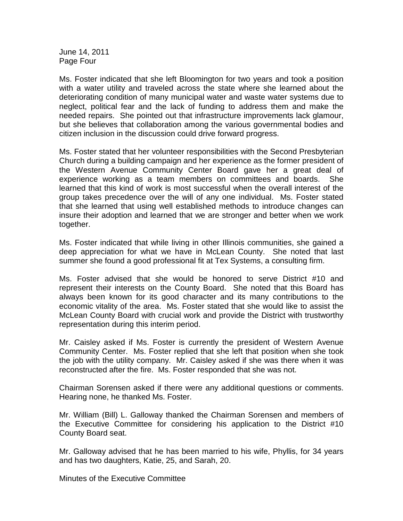June 14, 2011 Page Four

Ms. Foster indicated that she left Bloomington for two years and took a position with a water utility and traveled across the state where she learned about the deteriorating condition of many municipal water and waste water systems due to neglect, political fear and the lack of funding to address them and make the needed repairs. She pointed out that infrastructure improvements lack glamour, but she believes that collaboration among the various governmental bodies and citizen inclusion in the discussion could drive forward progress.

Ms. Foster stated that her volunteer responsibilities with the Second Presbyterian Church during a building campaign and her experience as the former president of the Western Avenue Community Center Board gave her a great deal of experience working as a team members on committees and boards. She learned that this kind of work is most successful when the overall interest of the group takes precedence over the will of any one individual. Ms. Foster stated that she learned that using well established methods to introduce changes can insure their adoption and learned that we are stronger and better when we work together.

Ms. Foster indicated that while living in other Illinois communities, she gained a deep appreciation for what we have in McLean County. She noted that last summer she found a good professional fit at Tex Systems, a consulting firm.

Ms. Foster advised that she would be honored to serve District #10 and represent their interests on the County Board. She noted that this Board has always been known for its good character and its many contributions to the economic vitality of the area. Ms. Foster stated that she would like to assist the McLean County Board with crucial work and provide the District with trustworthy representation during this interim period.

Mr. Caisley asked if Ms. Foster is currently the president of Western Avenue Community Center. Ms. Foster replied that she left that position when she took the job with the utility company. Mr. Caisley asked if she was there when it was reconstructed after the fire. Ms. Foster responded that she was not.

Chairman Sorensen asked if there were any additional questions or comments. Hearing none, he thanked Ms. Foster.

Mr. William (Bill) L. Galloway thanked the Chairman Sorensen and members of the Executive Committee for considering his application to the District #10 County Board seat.

Mr. Galloway advised that he has been married to his wife, Phyllis, for 34 years and has two daughters, Katie, 25, and Sarah, 20.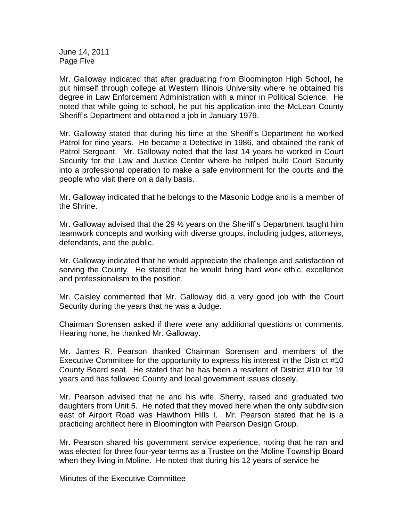June 14, 2011 Page Five

Mr. Galloway indicated that after graduating from Bloomington High School, he put himself through college at Western Illinois University where he obtained his degree in Law Enforcement Administration with a minor in Political Science. He noted that while going to school, he put his application into the McLean County Sheriff's Department and obtained a job in January 1979.

Mr. Galloway stated that during his time at the Sheriff's Department he worked Patrol for nine years. He became a Detective in 1986, and obtained the rank of Patrol Sergeant. Mr. Galloway noted that the last 14 years he worked in Court Security for the Law and Justice Center where he helped build Court Security into a professional operation to make a safe environment for the courts and the people who visit there on a daily basis.

Mr. Galloway indicated that he belongs to the Masonic Lodge and is a member of the Shrine.

Mr. Galloway advised that the 29 ½ years on the Sheriff's Department taught him teamwork concepts and working with diverse groups, including judges, attorneys, defendants, and the public.

Mr. Galloway indicated that he would appreciate the challenge and satisfaction of serving the County. He stated that he would bring hard work ethic, excellence and professionalism to the position.

Mr. Caisley commented that Mr. Galloway did a very good job with the Court Security during the years that he was a Judge.

Chairman Sorensen asked if there were any additional questions or comments. Hearing none, he thanked Mr. Galloway.

Mr. James R. Pearson thanked Chairman Sorensen and members of the Executive Committee for the opportunity to express his interest in the District #10 County Board seat. He stated that he has been a resident of District #10 for 19 years and has followed County and local government issues closely.

Mr. Pearson advised that he and his wife, Sherry, raised and graduated two daughters from Unit 5. He noted that they moved here when the only subdivision east of Airport Road was Hawthorn Hills I. Mr. Pearson stated that he is a practicing architect here in Bloomington with Pearson Design Group.

Mr. Pearson shared his government service experience, noting that he ran and was elected for three four-year terms as a Trustee on the Moline Township Board when they living in Moline. He noted that during his 12 years of service he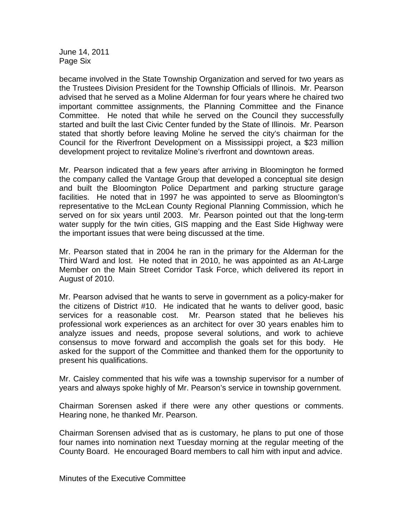June 14, 2011 Page Six

became involved in the State Township Organization and served for two years as the Trustees Division President for the Township Officials of Illinois. Mr. Pearson advised that he served as a Moline Alderman for four years where he chaired two important committee assignments, the Planning Committee and the Finance Committee. He noted that while he served on the Council they successfully started and built the last Civic Center funded by the State of Illinois. Mr. Pearson stated that shortly before leaving Moline he served the city's chairman for the Council for the Riverfront Development on a Mississippi project, a \$23 million development project to revitalize Moline's riverfront and downtown areas.

Mr. Pearson indicated that a few years after arriving in Bloomington he formed the company called the Vantage Group that developed a conceptual site design and built the Bloomington Police Department and parking structure garage facilities. He noted that in 1997 he was appointed to serve as Bloomington's representative to the McLean County Regional Planning Commission, which he served on for six years until 2003. Mr. Pearson pointed out that the long-term water supply for the twin cities, GIS mapping and the East Side Highway were the important issues that were being discussed at the time.

Mr. Pearson stated that in 2004 he ran in the primary for the Alderman for the Third Ward and lost. He noted that in 2010, he was appointed as an At-Large Member on the Main Street Corridor Task Force, which delivered its report in August of 2010.

Mr. Pearson advised that he wants to serve in government as a policy-maker for the citizens of District #10. He indicated that he wants to deliver good, basic services for a reasonable cost. Mr. Pearson stated that he believes his professional work experiences as an architect for over 30 years enables him to analyze issues and needs, propose several solutions, and work to achieve consensus to move forward and accomplish the goals set for this body. He asked for the support of the Committee and thanked them for the opportunity to present his qualifications.

Mr. Caisley commented that his wife was a township supervisor for a number of years and always spoke highly of Mr. Pearson's service in township government.

Chairman Sorensen asked if there were any other questions or comments. Hearing none, he thanked Mr. Pearson.

Chairman Sorensen advised that as is customary, he plans to put one of those four names into nomination next Tuesday morning at the regular meeting of the County Board. He encouraged Board members to call him with input and advice.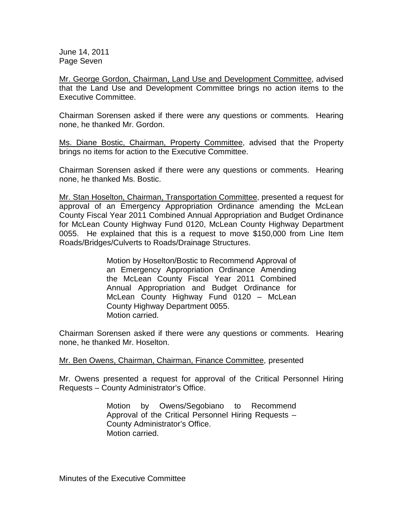June 14, 2011 Page Seven

Mr. George Gordon, Chairman, Land Use and Development Committee, advised that the Land Use and Development Committee brings no action items to the Executive Committee.

Chairman Sorensen asked if there were any questions or comments. Hearing none, he thanked Mr. Gordon.

Ms. Diane Bostic, Chairman, Property Committee, advised that the Property brings no items for action to the Executive Committee.

Chairman Sorensen asked if there were any questions or comments. Hearing none, he thanked Ms. Bostic.

Mr. Stan Hoselton, Chairman, Transportation Committee, presented a request for approval of an Emergency Appropriation Ordinance amending the McLean County Fiscal Year 2011 Combined Annual Appropriation and Budget Ordinance for McLean County Highway Fund 0120, McLean County Highway Department 0055. He explained that this is a request to move \$150,000 from Line Item Roads/Bridges/Culverts to Roads/Drainage Structures.

> Motion by Hoselton/Bostic to Recommend Approval of an Emergency Appropriation Ordinance Amending the McLean County Fiscal Year 2011 Combined Annual Appropriation and Budget Ordinance for McLean County Highway Fund 0120 – McLean County Highway Department 0055. Motion carried.

Chairman Sorensen asked if there were any questions or comments. Hearing none, he thanked Mr. Hoselton.

Mr. Ben Owens, Chairman, Chairman, Finance Committee, presented

Mr. Owens presented a request for approval of the Critical Personnel Hiring Requests – County Administrator's Office.

> Motion by Owens/Segobiano to Recommend Approval of the Critical Personnel Hiring Requests – County Administrator's Office. Motion carried.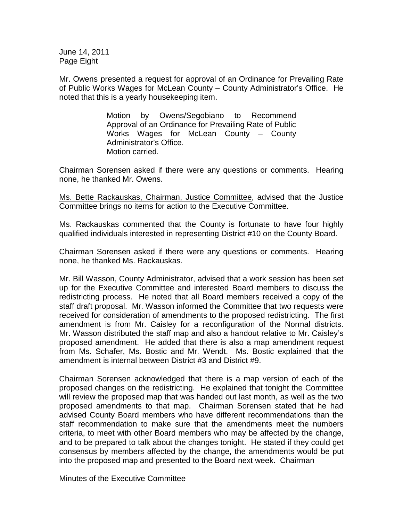June 14, 2011 Page Eight

Mr. Owens presented a request for approval of an Ordinance for Prevailing Rate of Public Works Wages for McLean County – County Administrator's Office. He noted that this is a yearly housekeeping item.

> Motion by Owens/Segobiano to Recommend Approval of an Ordinance for Prevailing Rate of Public Works Wages for McLean County – County Administrator's Office. Motion carried.

Chairman Sorensen asked if there were any questions or comments. Hearing none, he thanked Mr. Owens.

Ms. Bette Rackauskas, Chairman, Justice Committee, advised that the Justice Committee brings no items for action to the Executive Committee.

Ms. Rackauskas commented that the County is fortunate to have four highly qualified individuals interested in representing District #10 on the County Board.

Chairman Sorensen asked if there were any questions or comments. Hearing none, he thanked Ms. Rackauskas.

Mr. Bill Wasson, County Administrator, advised that a work session has been set up for the Executive Committee and interested Board members to discuss the redistricting process. He noted that all Board members received a copy of the staff draft proposal. Mr. Wasson informed the Committee that two requests were received for consideration of amendments to the proposed redistricting. The first amendment is from Mr. Caisley for a reconfiguration of the Normal districts. Mr. Wasson distributed the staff map and also a handout relative to Mr. Caisley's proposed amendment. He added that there is also a map amendment request from Ms. Schafer, Ms. Bostic and Mr. Wendt. Ms. Bostic explained that the amendment is internal between District #3 and District #9.

Chairman Sorensen acknowledged that there is a map version of each of the proposed changes on the redistricting. He explained that tonight the Committee will review the proposed map that was handed out last month, as well as the two proposed amendments to that map. Chairman Sorensen stated that he had advised County Board members who have different recommendations than the staff recommendation to make sure that the amendments meet the numbers criteria, to meet with other Board members who may be affected by the change, and to be prepared to talk about the changes tonight. He stated if they could get consensus by members affected by the change, the amendments would be put into the proposed map and presented to the Board next week. Chairman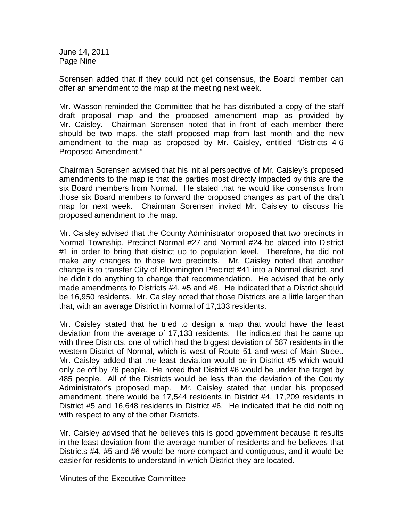June 14, 2011 Page Nine

Sorensen added that if they could not get consensus, the Board member can offer an amendment to the map at the meeting next week.

Mr. Wasson reminded the Committee that he has distributed a copy of the staff draft proposal map and the proposed amendment map as provided by Mr. Caisley. Chairman Sorensen noted that in front of each member there should be two maps, the staff proposed map from last month and the new amendment to the map as proposed by Mr. Caisley, entitled "Districts 4-6 Proposed Amendment."

Chairman Sorensen advised that his initial perspective of Mr. Caisley's proposed amendments to the map is that the parties most directly impacted by this are the six Board members from Normal. He stated that he would like consensus from those six Board members to forward the proposed changes as part of the draft map for next week. Chairman Sorensen invited Mr. Caisley to discuss his proposed amendment to the map.

Mr. Caisley advised that the County Administrator proposed that two precincts in Normal Township, Precinct Normal #27 and Normal #24 be placed into District #1 in order to bring that district up to population level. Therefore, he did not make any changes to those two precincts. Mr. Caisley noted that another change is to transfer City of Bloomington Precinct #41 into a Normal district, and he didn't do anything to change that recommendation. He advised that he only made amendments to Districts #4, #5 and #6. He indicated that a District should be 16,950 residents. Mr. Caisley noted that those Districts are a little larger than that, with an average District in Normal of 17,133 residents.

Mr. Caisley stated that he tried to design a map that would have the least deviation from the average of 17,133 residents. He indicated that he came up with three Districts, one of which had the biggest deviation of 587 residents in the western District of Normal, which is west of Route 51 and west of Main Street. Mr. Caisley added that the least deviation would be in District #5 which would only be off by 76 people. He noted that District #6 would be under the target by 485 people. All of the Districts would be less than the deviation of the County Administrator's proposed map. Mr. Caisley stated that under his proposed amendment, there would be 17,544 residents in District #4, 17,209 residents in District #5 and 16,648 residents in District #6. He indicated that he did nothing with respect to any of the other Districts.

Mr. Caisley advised that he believes this is good government because it results in the least deviation from the average number of residents and he believes that Districts #4, #5 and #6 would be more compact and contiguous, and it would be easier for residents to understand in which District they are located.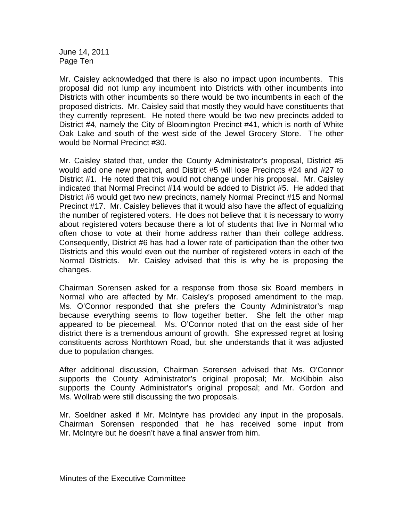June 14, 2011 Page Ten

Mr. Caisley acknowledged that there is also no impact upon incumbents. This proposal did not lump any incumbent into Districts with other incumbents into Districts with other incumbents so there would be two incumbents in each of the proposed districts. Mr. Caisley said that mostly they would have constituents that they currently represent. He noted there would be two new precincts added to District #4, namely the City of Bloomington Precinct #41, which is north of White Oak Lake and south of the west side of the Jewel Grocery Store. The other would be Normal Precinct #30.

Mr. Caisley stated that, under the County Administrator's proposal, District #5 would add one new precinct, and District #5 will lose Precincts #24 and #27 to District #1. He noted that this would not change under his proposal. Mr. Caisley indicated that Normal Precinct #14 would be added to District #5. He added that District #6 would get two new precincts, namely Normal Precinct #15 and Normal Precinct #17. Mr. Caisley believes that it would also have the affect of equalizing the number of registered voters. He does not believe that it is necessary to worry about registered voters because there a lot of students that live in Normal who often chose to vote at their home address rather than their college address. Consequently, District #6 has had a lower rate of participation than the other two Districts and this would even out the number of registered voters in each of the Normal Districts. Mr. Caisley advised that this is why he is proposing the changes.

Chairman Sorensen asked for a response from those six Board members in Normal who are affected by Mr. Caisley's proposed amendment to the map. Ms. O'Connor responded that she prefers the County Administrator's map because everything seems to flow together better. She felt the other map appeared to be piecemeal. Ms. O'Connor noted that on the east side of her district there is a tremendous amount of growth. She expressed regret at losing constituents across Northtown Road, but she understands that it was adjusted due to population changes.

After additional discussion, Chairman Sorensen advised that Ms. O'Connor supports the County Administrator's original proposal; Mr. McKibbin also supports the County Administrator's original proposal; and Mr. Gordon and Ms. Wollrab were still discussing the two proposals.

Mr. Soeldner asked if Mr. McIntyre has provided any input in the proposals. Chairman Sorensen responded that he has received some input from Mr. McIntyre but he doesn't have a final answer from him.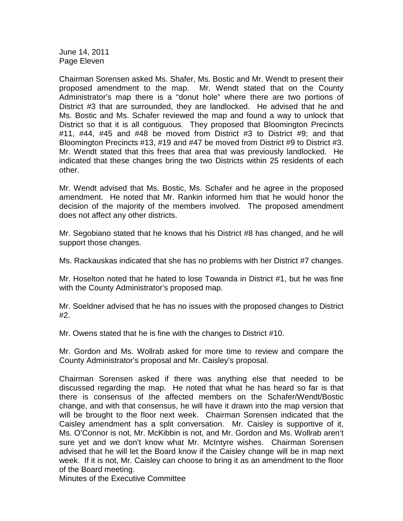June 14, 2011 Page Eleven

Chairman Sorensen asked Ms. Shafer, Ms. Bostic and Mr. Wendt to present their proposed amendment to the map. Mr. Wendt stated that on the County Administrator's map there is a "donut hole" where there are two portions of District #3 that are surrounded, they are landlocked. He advised that he and Ms. Bostic and Ms. Schafer reviewed the map and found a way to unlock that District so that it is all contiguous. They proposed that Bloomington Precincts #11, #44, #45 and #48 be moved from District #3 to District #9; and that Bloomington Precincts #13, #19 and #47 be moved from District #9 to District #3. Mr. Wendt stated that this frees that area that was previously landlocked. He indicated that these changes bring the two Districts within 25 residents of each other.

Mr. Wendt advised that Ms. Bostic, Ms. Schafer and he agree in the proposed amendment. He noted that Mr. Rankin informed him that he would honor the decision of the majority of the members involved. The proposed amendment does not affect any other districts.

Mr. Segobiano stated that he knows that his District #8 has changed, and he will support those changes.

Ms. Rackauskas indicated that she has no problems with her District #7 changes.

Mr. Hoselton noted that he hated to lose Towanda in District #1, but he was fine with the County Administrator's proposed map.

Mr. Soeldner advised that he has no issues with the proposed changes to District #2.

Mr. Owens stated that he is fine with the changes to District #10.

Mr. Gordon and Ms. Wollrab asked for more time to review and compare the County Administrator's proposal and Mr. Caisley's proposal.

Chairman Sorensen asked if there was anything else that needed to be discussed regarding the map. He noted that what he has heard so far is that there is consensus of the affected members on the Schafer/Wendt/Bostic change, and with that consensus, he will have it drawn into the map version that will be brought to the floor next week. Chairman Sorensen indicated that the Caisley amendment has a split conversation. Mr. Caisley is supportive of it, Ms. O'Connor is not, Mr. McKibbin is not, and Mr. Gordon and Ms. Wollrab aren't sure yet and we don't know what Mr. McIntyre wishes. Chairman Sorensen advised that he will let the Board know if the Caisley change will be in map next week. If it is not, Mr. Caisley can choose to bring it as an amendment to the floor of the Board meeting.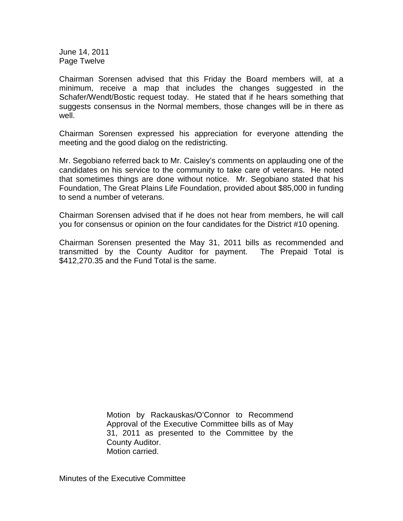June 14, 2011 Page Twelve

Chairman Sorensen advised that this Friday the Board members will, at a minimum, receive a map that includes the changes suggested in the Schafer/Wendt/Bostic request today. He stated that if he hears something that suggests consensus in the Normal members, those changes will be in there as well.

Chairman Sorensen expressed his appreciation for everyone attending the meeting and the good dialog on the redistricting.

Mr. Segobiano referred back to Mr. Caisley's comments on applauding one of the candidates on his service to the community to take care of veterans. He noted that sometimes things are done without notice. Mr. Segobiano stated that his Foundation, The Great Plains Life Foundation, provided about \$85,000 in funding to send a number of veterans.

Chairman Sorensen advised that if he does not hear from members, he will call you for consensus or opinion on the four candidates for the District #10 opening.

Chairman Sorensen presented the May 31, 2011 bills as recommended and transmitted by the County Auditor for payment. The Prepaid Total is \$412,270.35 and the Fund Total is the same.

> Motion by Rackauskas/O'Connor to Recommend Approval of the Executive Committee bills as of May 31, 2011 as presented to the Committee by the County Auditor. Motion carried.